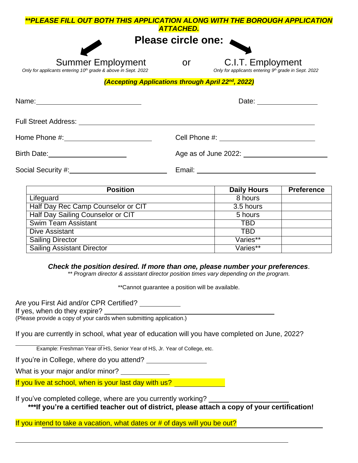| **PLEASE FILL OUT BOTH THIS APPLICATION ALONG WITH THE BOROUGH APPLICATION                            |                  |                                                                           |
|-------------------------------------------------------------------------------------------------------|------------------|---------------------------------------------------------------------------|
|                                                                                                       | <b>ATTACHED.</b> |                                                                           |
|                                                                                                       |                  | Please circle one:                                                        |
|                                                                                                       |                  |                                                                           |
| <b>Summer Employment</b><br>Only for applicants entering 10 <sup>th</sup> grade & above in Sept. 2022 | <b>or</b>        | C.I.T. Employment<br>Only for applicants entering 9th grade in Sept. 2022 |
| (Accepting Applications through April 22 <sup>nd</sup> , 2022)                                        |                  |                                                                           |
| Name: ___________________________________                                                             |                  | Date: __________________                                                  |
| Full Street Address: <u>_________________________________</u>                                         |                  |                                                                           |
|                                                                                                       |                  |                                                                           |
| Birth Date: _________________________                                                                 |                  | Age as of June 2022: Age as of June 2022:                                 |
|                                                                                                       |                  | Email: __________________________                                         |
|                                                                                                       |                  |                                                                           |

| <b>Position</b>                    | <b>Daily Hours</b> | <b>Preference</b> |
|------------------------------------|--------------------|-------------------|
| Lifeguard                          | 8 hours            |                   |
| Half Day Rec Camp Counselor or CIT | 3.5 hours          |                   |
| Half Day Sailing Counselor or CIT  | 5 hours            |                   |
| <b>Swim Team Assistant</b>         | TBD                |                   |
| Dive Assistant                     | TBD                |                   |
| <b>Sailing Director</b>            | Varies**           |                   |
| Sailing Assistant Director         | Varies**           |                   |

*Check the position desired. If more than one, please number your preferences*.

*\*\* Program director & assistant director position times vary depending on the program.*

\*\*Cannot guarantee a position will be available.

Are you First Aid and/or CPR Certified? \_\_\_\_\_\_\_\_\_\_

If yes, when do they expire?

(Please provide a copy of your cards when submitting application.)

If you are currently in school, what year of education will you have completed on June, 2022?

Example: Freshman Year of HS, Senior Year of HS, Jr. Year of College, etc.

If you're in College, where do you attend?

What is your major and/or minor? \_\_\_\_\_\_\_\_\_\_\_\_\_\_\_

If you live at school, when is your last day with us?

If you've completed college, where are you currently working? **\*\*\*If you're a certified teacher out of district, please attach a copy of your certification!**

If you intend to take a vacation, what dates or # of days will you be out?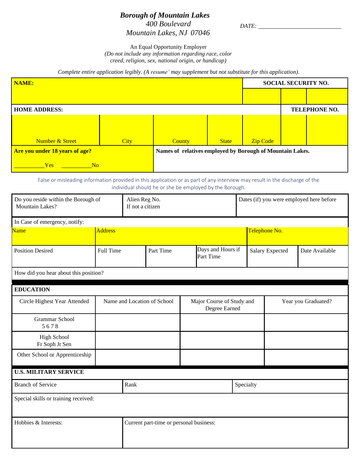## *Borough of Mountain Lakes 400 Boulevard Mountain Lakes, NJ 07046*

*DATE:*

An Equal Opportunity Employer

*(Do not include any information regarding race, color creed, religion, sex, national origin, or handicap)*

*Complete entire application legibly. (A resume' may supplement but not substitute for this application).*

| NAME:                                 |             |                                                           |              | <b>SOCIAL SECURITY NO.</b> |  |               |
|---------------------------------------|-------------|-----------------------------------------------------------|--------------|----------------------------|--|---------------|
|                                       |             |                                                           |              |                            |  |               |
| <b>HOME ADDRESS:</b>                  |             |                                                           |              |                            |  | TELEPHONE NO. |
|                                       |             |                                                           |              |                            |  |               |
|                                       |             |                                                           |              |                            |  |               |
| <b>Number &amp; Street</b>            | <b>City</b> | <b>County</b>                                             | <b>State</b> | <b>Zip Code</b>            |  |               |
| <b>Are you under 18 years of age?</b> |             | Names of relatives employed by Borough of Mountain Lakes. |              |                            |  |               |
| <b>Yes</b><br>N <sub>o</sub>          |             |                                                           |              |                            |  |               |

False or misleading information provided in this application or as part of any interview may result in the discharge of the individual should he or she be employed by the Borough.

| Do you reside within the Borough of<br>Mountain Lakes? | Alien Reg No.<br>If not a citizen |      |                                         |                                            | Dates (if) you were employed here before |                        |                     |                |
|--------------------------------------------------------|-----------------------------------|------|-----------------------------------------|--------------------------------------------|------------------------------------------|------------------------|---------------------|----------------|
| In Case of emergency, notify:                          |                                   |      |                                         |                                            |                                          |                        |                     |                |
| <b>Name</b>                                            | <b>Address</b>                    |      |                                         |                                            |                                          | Telephone No.          |                     |                |
| <b>Position Desired</b>                                | <b>Full Time</b><br>Part Time     |      |                                         | Days and Hours if<br>Part Time             |                                          | <b>Salary Expected</b> |                     | Date Available |
| How did you hear about this position?                  |                                   |      |                                         |                                            |                                          |                        |                     |                |
| <b>EDUCATION</b>                                       |                                   |      |                                         |                                            |                                          |                        |                     |                |
| Circle Highest Year Attended                           | Name and Location of School       |      |                                         | Major Course of Study and<br>Degree Earned |                                          |                        | Year you Graduated? |                |
| <b>Grammar School</b><br>5678                          |                                   |      |                                         |                                            |                                          |                        |                     |                |
| <b>High School</b><br>Fr Soph Jr Sen                   |                                   |      |                                         |                                            |                                          |                        |                     |                |
| Other School or Apprenticeship                         |                                   |      |                                         |                                            |                                          |                        |                     |                |
| <b>U.S. MILITARY SERVICE</b>                           |                                   |      |                                         |                                            |                                          |                        |                     |                |
| <b>Branch of Service</b>                               |                                   | Rank |                                         |                                            | Specialty                                |                        |                     |                |
| Special skills or training received:                   |                                   |      |                                         |                                            |                                          |                        |                     |                |
| Hobbies & Interests:                                   |                                   |      | Current part-time or personal business: |                                            |                                          |                        |                     |                |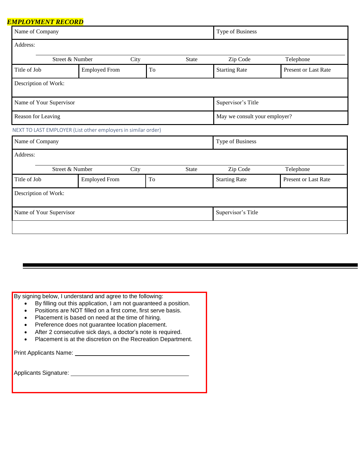## *EMPLOYMENT RECORD*

| Name of Company         |                                                               |      | Type of Business |                               |                      |  |
|-------------------------|---------------------------------------------------------------|------|------------------|-------------------------------|----------------------|--|
| Address:                |                                                               |      |                  |                               |                      |  |
|                         | Street & Number                                               | City | State            | Zip Code                      | Telephone            |  |
| Title of Job            | <b>Employed From</b>                                          | To   |                  | <b>Starting Rate</b>          | Present or Last Rate |  |
| Description of Work:    |                                                               |      |                  |                               |                      |  |
| Name of Your Supervisor |                                                               |      |                  | Supervisor's Title            |                      |  |
| Reason for Leaving      |                                                               |      |                  | May we consult your employer? |                      |  |
|                         | NEXT TO LAST EMPLOYER (List other employers in similar order) |      |                  |                               |                      |  |
| Name of Company         |                                                               |      |                  | Type of Business              |                      |  |
| Address:                |                                                               |      |                  |                               |                      |  |
|                         | Street & Number                                               | City | State            | Zip Code                      | Telephone            |  |
| Title of Job            | <b>Employed From</b>                                          | To   |                  | <b>Starting Rate</b>          | Present or Last Rate |  |
| Description of Work:    |                                                               |      |                  |                               |                      |  |
| Name of Your Supervisor |                                                               |      |                  | Supervisor's Title            |                      |  |
|                         |                                                               |      |                  |                               |                      |  |

By signing below, I understand and agree to the following:

- By filling out this application, I am not guaranteed a position.
- Positions are NOT filled on a first come, first serve basis.
- Placement is based on need at the time of hiring.
- Preference does not guarantee location placement.
- After 2 consecutive sick days, a doctor's note is required.
- Placement is at the discretion on the Recreation Department.

Print Applicants Name:

Applicants Signature: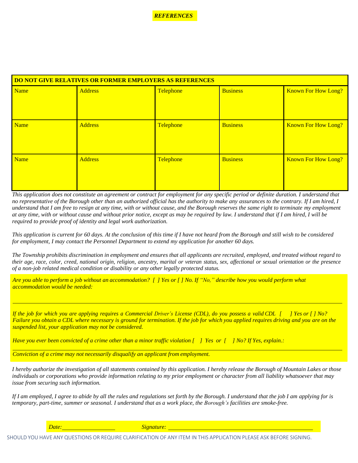*REFERENCES*

| <b>DO NOT GIVE RELATIVES OR FORMER EMPLOYERS AS REFERENCES</b> |                |           |                 |                            |  |  |
|----------------------------------------------------------------|----------------|-----------|-----------------|----------------------------|--|--|
| <b>Name</b>                                                    | <b>Address</b> | Telephone | <b>Business</b> | <b>Known For How Long?</b> |  |  |
|                                                                |                |           |                 |                            |  |  |
|                                                                |                |           |                 |                            |  |  |
| <b>Name</b>                                                    | <b>Address</b> | Telephone | <b>Business</b> | <b>Known For How Long?</b> |  |  |
|                                                                |                |           |                 |                            |  |  |
|                                                                |                |           |                 |                            |  |  |
| <b>Name</b>                                                    | <b>Address</b> | Telephone | <b>Business</b> | <b>Known For How Long?</b> |  |  |
|                                                                |                |           |                 |                            |  |  |
|                                                                |                |           |                 |                            |  |  |
|                                                                |                |           |                 |                            |  |  |

*This application does not constitute an agreement or contract for employment for any specific period or definite duration. I understand that no representative of the Borough other than an authorized official has the authority to make any assurances to the contrary. If I am hired, I understand that I am free to resign at any time, with or without cause, and the Borough reserves the same right to terminate my employment at any time, with or without cause and without prior notice, except as may be required by law. I understand that if I am hired, I will be required to provide proof of identity and legal work authorization.*

*This application is current for 60 days. At the conclusion of this time if I have not heard from the Borough and still wish to be considered for employment, I may contact the Personnel Department to extend my application for another 60 days.*

The Township prohibits discrimination in employment and ensures that all applicants are recruited, employed, and treated without regard to their age, race, color, creed, national origin, religion, ancestry, marital or veteran status, sex, affectional or sexual orientation or the presence *of a non-job related medical condition or disability or any other legally protected status.*

Are you able to perform a job without an accommodation? [ ] Yes or [ ] No. If "No," describe how you would perform what *accommodation would be needed:*

If the job for which you are applying requires a Commercial Driver's License (CDL), do you possess a valid CDL [ ] Yes or [ ] No? *Failure you obtain a CDL where necessary is ground for termination. If the job for which you applied requires driving and you are on the suspended list, your application may not be considered.*

Have you ever been convicted of a crime other than a minor traffic violation  $\int$  1 Yes or  $\int$  1 No? If Yes, explain.:

*Conviction of a crime may not necessarily disqualify an applicant from employment.*

*I hereby authorize the investigation of all statements contained by this application. I hereby release the Borough of Mountain Lakes or those individuals or corporations who provide information relating to my prior employment or character from all liability whatsoever that may issue from securing such information.*

*If I am employed, I agree to abide by all the rules and regulations set forth by the Borough. I understand that the job I am applying for is temporary, part-time, summer or seasonal. I understand that as a work place, the Borough's facilities are smoke-free.*

*Date: Signature:*

SHOULD YOU HAVE ANY QUESTIONS OR REQUIRE CLARIFICATION OF ANY ITEM IN THIS APPLICATION PLEASE ASK BEFORE SIGNING.